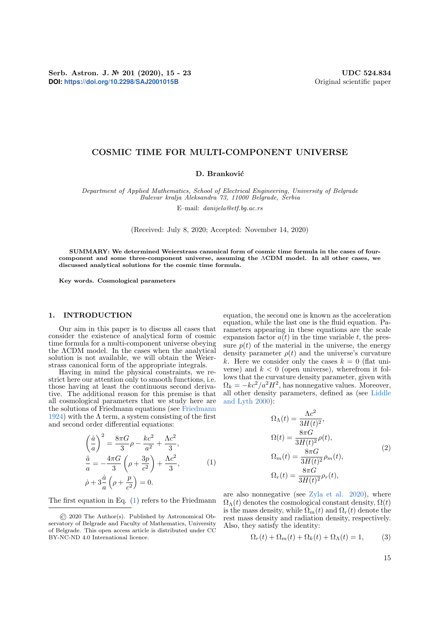Serb. Astron. J. № 201 (2020), 15 - 23 UDC 524.834 **DOI:** <https://doi.org/10.2298/SAJ2001015B> Original scientific paper

## COSMIC TIME FOR MULTI-COMPONENT UNIVERSE

## D. Branković

Department of Applied Mathematics, School of Electrical Engineering, University of Belgrade Bulevar kralja Aleksandra 73, 11000 Belgrade, Serbia

E–mail: danijela@etf.bg.ac.rs

(Received: July 8, 2020; Accepted: November 14, 2020)

SUMMARY: We determined Weierstrass canonical form of cosmic time formula in the cases of fourcomponent and some three-component universe, assuming the ΛCDM model. In all other cases, we discussed analytical solutions for the cosmic time formula.

Key words. Cosmological parameters

#### 1. INTRODUCTION

Our aim in this paper is to discuss all cases that consider the existence of analytical form of cosmic time formula for a multi-component universe obeying the ΛCDM model. In the cases when the analytical solution is not available, we will obtain the Weierstrass canonical form of the appropriate integrals.

Having in mind the physical constraints, we restrict here our attention only to smooth functions, i.e. those having at least the continuous second derivative. The additional reason for this premise is that all cosmological parameters that we study here are the solutions of Friedmann equations (see [Friedmann](#page-7-0) [1924\)](#page-7-0) with the  $\Lambda$  term, a system consisting of the first and second order differential equations:

<span id="page-0-0"></span>
$$
\left(\frac{\dot{a}}{a}\right)^2 = \frac{8\pi G}{3}\rho - \frac{kc^2}{a^2} + \frac{\Lambda c^2}{3},
$$
  
\n
$$
\frac{\ddot{a}}{a} = -\frac{4\pi G}{3}\left(\rho + \frac{3p}{c^2}\right) + \frac{\Lambda c^2}{3},
$$
  
\n
$$
\dot{\rho} + 3\frac{\dot{a}}{a}\left(\rho + \frac{p}{c^2}\right) = 0.
$$
\n(1)

The first equation in Eq. [\(1\)](#page-0-0) refers to the Friedmann

equation, the second one is known as the acceleration equation, while the last one is the fluid equation. Parameters appearing in these equations are the scale expansion factor  $a(t)$  in the time variable t, the pressure  $p(t)$  of the material in the universe, the energy density parameter  $\rho(t)$  and the universe's curvature k. Here we consider only the cases  $k = 0$  (flat universe) and  $k < 0$  (open universe), wherefrom it follows that the curvature density parameter, given with  $\Omega_k = -kc^2/a^2H^2$ , has nonnegative values. Moreover, all other density parameters, defined as (see [Liddle](#page-7-1) [and Lyth](#page-7-1) [2000\)](#page-7-1):

$$
\Omega_{\Lambda}(t) = \frac{\Lambda c^2}{3H(t)^2},
$$
  
\n
$$
\Omega(t) = \frac{8\pi G}{3H(t)^2} \rho(t),
$$
  
\n
$$
\Omega_m(t) = \frac{8\pi G}{3H(t)^2} \rho_m(t),
$$
  
\n
$$
\Omega_r(t) = \frac{8\pi G}{3H(t)^2} \rho_r(t),
$$
\n(2)

are also nonnegative (see [Zyla et al.](#page-7-2) [2020\)](#page-7-2), where  $\Omega_{\Lambda}(t)$  denotes the cosmological constant density,  $\Omega(t)$ is the mass density, while  $\Omega_m(t)$  and  $\Omega_r(t)$  denote the rest mass density and radiation density, respectively. Also, they satisfy the identity:

$$
\Omega_r(t) + \Omega_m(t) + \Omega_k(t) + \Omega_\Lambda(t) = 1,\tag{3}
$$

<sup>©</sup> 2020 The Author(s). Published by Astronomical Observatory of Belgrade and Faculty of Mathematics, University of Belgrade. This open access article is distributed under CC BY-NC-ND 4.0 International licence.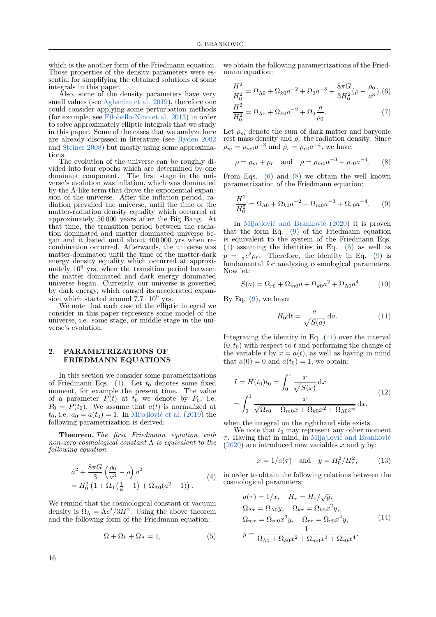$\overline{a}$ 

which is the another form of the Friedmann equation. Those properties of the density parameters were essential for simplifying the obtained solutions of some integrals in this paper.

Also, some of the density parameters have very small values (see [Aghanim et al.](#page-7-3) [2019\)](#page-7-3), therefore one could consider applying some perturbation methods (for example, see [Filobello-Nino et al.](#page-7-4) [2013\)](#page-7-4) in order to solve approximately elliptic integrals that we study in this paper. Some of the cases that we analyze here are already discussed in literature (see [Ryden](#page-7-5) [2002](#page-7-5) and [Steiner](#page-7-6) [2008\)](#page-7-6) but mostly using some approximations

The evolution of the universe can be roughly divided into four epochs which are determined by one dominant component. The first stage in the universe's evolution was inflation, which was dominated by the Λ-like term that drove the exponential expansion of the universe. After the inflation period, radiation prevailed the universe, until the time of the matter-radiation density equality which occurred at approximately 50 000 years after the Big Bang. At that time, the transition period between the radiation dominated and matter dominated universe began and it lasted until about 400 000 yrs when recombination occurred. Afterwards, the universe was matter-dominated until the time of the matter-dark energy density equality which occurred at approximately  $10^9$  yrs, when the transition period between the matter dominated and dark energy dominated universe began. Currently, our universe is governed by dark energy, which caused its accelerated expansion which started around  $7.7 \cdot 10^9$  yrs.

We note that each case of the elliptic integral we consider in this paper represents some model of the universe, i.e. some stage, or middle stage in the universe's evolution.

## 2. PARAMETRIZATIONS OF FRIEDMANN EQUATIONS

In this section we consider some parametrizations of Friedmann Eqs.  $(1)$ . Let  $t_0$  denotes some fixed moment, for example the present time. The value of a parameter  $P(t)$  at  $t_0$  we denote by  $P_0$ , i.e.  $P_0 = P(t_0)$ . We assume that  $a(t)$  is normalized at  $t_0$ , i.e.  $a_0 = a(t_0) = 1$ . In Mijajlović et al. [\(2019\)](#page-7-7) the following parametrization is derived:

Theorem. The first Friedmann equation with non-zero cosmological constant  $\Lambda$  is equivalent to the following equation:

$$
\dot{a}^{2} + \frac{8\pi G}{3} \left(\frac{\rho_{0}}{a^{3}} - \rho\right) a^{2}
$$
  
=  $H_{0}^{2} \left(1 + \Omega_{0} \left(\frac{1}{a} - 1\right) + \Omega_{\Lambda 0} (a^{2} - 1)\right).$  (4)

We remind that the cosmological constant or vacuum density is  $\Omega_{\Lambda} = \Lambda c^2 / 3H^2$ . Using the above theorem and the following form of the Friedmann equation:

<span id="page-1-6"></span>
$$
\Omega + \Omega_k + \Omega_\Lambda = 1,\tag{5}
$$

we obtain the following parametrizations of the Friedmann equation:

<span id="page-1-0"></span>
$$
\frac{H^2}{H_0^2} = \Omega_{\Lambda 0} + \Omega_{k0} a^{-2} + \Omega_0 a^{-3} + \frac{8\pi G}{3H_0^2} (\rho - \frac{\rho_0}{a^3}), (6)
$$
  

$$
\frac{H^2}{H_0^2} = \Omega_{\Lambda 0} + \Omega_{k0} a^{-2} + \Omega_0 \frac{\rho}{\rho_0}.
$$
 (7)

Let  $\rho_m$  denote the sum of dark matter and baryonic rest mass density and  $\rho_r$  the radiation density. Since  $\rho_m = \rho_{m0} a^{-3}$  and  $\rho_r = \rho_{r0} a^{-4}$ , we have:

<span id="page-1-1"></span>
$$
\rho = \rho_m + \rho_r
$$
 and  $\rho = \rho_{m0} a^{-3} + \rho_{r0} a^{-4}$ . (8)

From Eqs. [\(6\)](#page-1-0) and [\(8\)](#page-1-1) we obtain the well known parametrization of the Friedmann equation:

<span id="page-1-2"></span>
$$
\frac{H^2}{H_0^2} = \Omega_{\Lambda 0} + \Omega_{k0} a^{-2} + \Omega_{m0} a^{-3} + \Omega_{r0} a^{-4}.
$$
 (9)

In Mijajlović and Branković [\(2020\)](#page-7-8) it is proven that the form Eq. [\(9\)](#page-1-2) of the Friedmann equation is equivalent to the system of the Friedmann Eqs. [\(1\)](#page-0-0) assuming the identities in Eq. [\(8\)](#page-1-1) as well as  $p = \frac{1}{3}c^2 \rho_r$ . Therefore, the identity in Eq. [\(9\)](#page-1-2) is fundamental for analyzing cosmological parameters. Now let:

$$
S(a) = \Omega_{r0} + \Omega_{m0}a + \Omega_{k0}a^2 + \Omega_{\Lambda 0}a^4.
$$
 (10)

By Eq.  $(9)$ , we have:

<span id="page-1-3"></span>
$$
H_0 \mathrm{d}t = \frac{a}{\sqrt{S(a)}} \, \mathrm{d}a. \tag{11}
$$

Integrating the identity in Eq. [\(11\)](#page-1-3) over the interval  $(0, t_0)$  with respect to t and performing the change of the variable t by  $x = a(t)$ , as well as having in mind that  $a(0) = 0$  and  $a(t_0) = 1$ , we obtain:

<span id="page-1-5"></span>
$$
I = H(t_0)t_0 = \int_0^1 \frac{x}{\sqrt{S(x)}} dx
$$
  
= 
$$
\int_0^1 \frac{x}{\sqrt{\Omega_{r0} + \Omega_{m0}x + \Omega_{k0}x^2 + \Omega_{\Lambda0}x^4}} dx,
$$
 (12)

when the integral on the righthand side exists.

We note that  $t_0$  may represent any other moment  $\tau$ . Having that in mind, in Mijajlović and Branković  $(2020)$  are introduced new variables x and y by:

$$
x = 1/a(\tau)
$$
 and  $y = H_0^2/H_\tau^2$ , (13)

in order to obtain the following relations between the cosmological parameters:

<span id="page-1-4"></span>
$$
a(\tau) = 1/x, \quad H_{\tau} = H_0/\sqrt{y},
$$
  
\n
$$
\Omega_{\Lambda \tau} = \Omega_{\Lambda 0} y, \quad \Omega_{k \tau} = \Omega_{k0} x^2 y,
$$
  
\n
$$
\Omega_{m\tau} = \Omega_{m0} x^3 y, \quad \Omega_{r\tau} = \Omega_{r0} x^4 y,
$$
  
\n
$$
y = \frac{1}{\Omega_{\Lambda 0} + \Omega_{k0} x^2 + \Omega_{m0} x^3 + \Omega_{r0} x^4}.
$$
\n(14)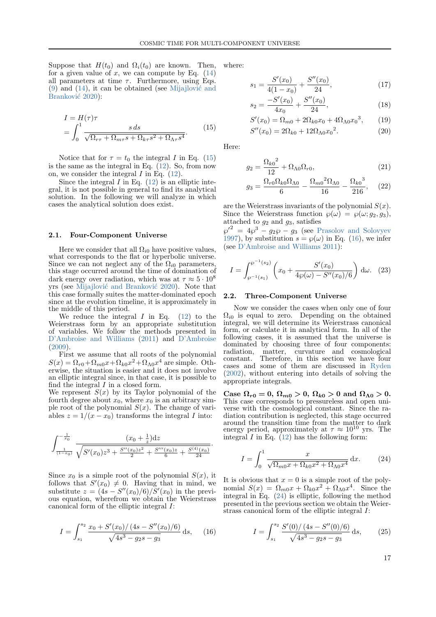Suppose that  $H(t_0)$  and  $\Omega_i(t_0)$  are known. Then, for a given value of x, we can compute by Eq.  $(14)$ all parameters at time  $\tau$ . Furthermore, using Eqs.  $(9)$  and  $(14)$ , it can be obtained (see Mijajlović and Branković [2020\)](#page-7-8):

<span id="page-2-0"></span>
$$
I = H(\tau)\tau
$$
  
= 
$$
\int_0^1 \frac{s \, ds}{\sqrt{\Omega_{r\tau} + \Omega_{m\tau}s + \Omega_{k\tau}s^2 + \Omega_{\Lambda\tau}s^4}}.
$$
 (15)

Notice that for  $\tau = t_0$  the integral I in Eq. [\(15\)](#page-2-0) is the same as the integral in Eq. [\(12\)](#page-1-5). So, from now on, we consider the integral  $I$  in Eq.  $(12)$ .

Since the integral  $I$  in Eq. [\(12\)](#page-1-5) is an elliptic integral, it is not possible in general to find its analytical solution. In the following we will analyze in which cases the analytical solution does exist.

#### 2.1. Four-Component Universe

Here we consider that all  $\Omega_{i0}$  have positive values, what corresponds to the flat or hyperbolic universe. Since we can not neglect any of the  $\Omega_{i0}$  parameters, this stage occurred around the time of domination of dark energy over radiation, which was at  $\tau \approx 5 \cdot 10^8$ yrs (see Mijajlović and Branković [2020\)](#page-7-8). Note that this case formally suites the matter-dominated epoch since at the evolution timeline, it is approximately in the middle of this period.

We reduce the integral  $I$  in Eq. [\(12\)](#page-1-5) to the Weierstrass form by an appropriate substitution of variables. We follow the methods presented in [D'Ambroise and Williams](#page-7-9) [\(2011\)](#page-7-9) and [D'Ambroise](#page-7-10) [\(2009\)](#page-7-10).

First we assume that all roots of the polynomial  $S(x) = \Omega_{r0} + \Omega_{m0}x + \Omega_{k0}x^2 + \Omega_{\Lambda 0}x^4$  are simple. Otherwise, the situation is easier and it does not involve an elliptic integral since, in that case, it is possible to find the integral  $I$  in a closed form.

We represent  $S(x)$  by its Taylor polynomial of the fourth degree about  $x_0$ , where  $x_0$  is an arbitrary simple root of the polynomial  $S(x)$ . The change of variables  $z = 1/(x - x_0)$  transforms the integral I into:

$$
\int_{\frac{1}{(1-x_0)}}^{-\frac{1}{x_0}} \frac{(x_0 + \frac{1}{z})dz}{\sqrt{S'(x_0)z^3 + \frac{S''(x_0)z^2}{2} + \frac{S'''(x_0)z}{6} + \frac{S^{(4)}(x_0)}{24}}}.
$$

Since  $x_0$  is a simple root of the polynomial  $S(x)$ , it follows that  $S'(x_0) \neq 0$ . Having that in mind, we substitute  $z = (4s - S''(x_0)/6)/S'(x_0)$  in the previous equation, wherefrom we obtain the Weierstrass canonical form of the elliptic integral I:

<span id="page-2-1"></span>
$$
I = \int_{s_1}^{s_2} \frac{x_0 + S'(x_0)/(4s - S''(x_0)/6)}{\sqrt{4s^3 - g_2s - g_3}} ds, \quad (16)
$$

where:

 $\mathcal{L}_{1}$ 

$$
x_1 = \frac{S'(x_0)}{4(1-x_0)} + \frac{S''(x_0)}{24},\tag{17}
$$

$$
s_2 = \frac{-S'(x_0)}{4x_0} + \frac{S''(x_0)}{24},\tag{18}
$$

$$
S'(x_0) = \Omega_{m0} + 2\Omega_{k0}x_0 + 4\Omega_{\Lambda 0}x_0^3, \qquad (19)
$$

$$
S''(x_0) = 2\Omega_{k0} + 12\Omega_{\Lambda 0} x_0^2.
$$
 (20)

Here:

$$
g_2 = \frac{\Omega_{k0}^2}{12} + \Omega_{\Lambda 0} \Omega_{r0},\tag{21}
$$

$$
g_3 = \frac{\Omega_{r0}\Omega_{k0}\Omega_{\Lambda0}}{6} - \frac{\Omega_{m0}^{2}\Omega_{\Lambda0}}{16} - \frac{\Omega_{k0}^{3}}{216}, \quad (22)
$$

are the Weierstrass invariants of the polynomial  $S(x)$ . Since the Weierstrass function  $\wp(\omega) = \wp(\omega; g_2, g_3)$ , attached to  $q_2$  and  $q_3$ , satisfies

 $\wp'^2 = 4\wp^3 - g_2\wp - g_3$  (see [Prasolov and Solovyev](#page-7-11) [1997\)](#page-7-11), by substitution  $s = \wp(\omega)$  in Eq. [\(16\)](#page-2-1), we infer (see [D'Ambroise and Williams](#page-7-9) [2011\)](#page-7-9):

$$
I = \int_{\wp^{-1}(s_1)}^{\wp^{-1}(s_2)} \left( x_0 + \frac{S'(x_0)}{4\wp(\omega) - S''(x_0)/6} \right) d\omega. \tag{23}
$$

#### 2.2. Three-Component Universe

Now we consider the cases when only one of four  $\Omega_{i0}$  is equal to zero. Depending on the obtained integral, we will determine its Weierstrass canonical form, or calculate it in analytical form. In all of the following cases, it is assumed that the universe is dominated by choosing three of four components: radiation, matter, curvature and cosmological constant. Therefore, in this section we have four cases and some of them are discussed in [Ryden](#page-7-5) [\(2002\)](#page-7-5), without entering into details of solving the appropriate integrals.

Case  $\Omega_{r0} = 0$ ,  $\Omega_{m0} > 0$ ,  $\Omega_{k0} > 0$  and  $\Omega_{\Lambda 0} > 0$ . This case corresponds to pressureless and open universe with the cosmological constant. Since the radiation contribution is neglected, this stage occurred around the transition time from the matter to dark<br>energy period, approximately at  $\tau \approx 10^{10}$  yrs. The integral  $I$  in Eq.  $(12)$  has the following form:

<span id="page-2-2"></span>
$$
I = \int_0^1 \frac{x}{\sqrt{\Omega_{m0}x + \Omega_{k0}x^2 + \Omega_{\Lambda0}x^4}} dx.
$$
 (24)

It is obvious that  $x = 0$  is a simple root of the polynomial  $S(x) = \Omega_{m0}x + \Omega_{k0}x^2 + \Omega_{\Lambda 0}x^4$ . Since the integral in Eq.  $(24)$  is elliptic, following the method presented in the previous section we obtain the Weierstrass canonical form of the elliptic integral I:

<span id="page-2-3"></span>
$$
I = \int_{s_1}^{s_2} \frac{S'(0)/(4s - S''(0)/6)}{\sqrt{4s^3 - g_2s - g_3}} ds,
$$
 (25)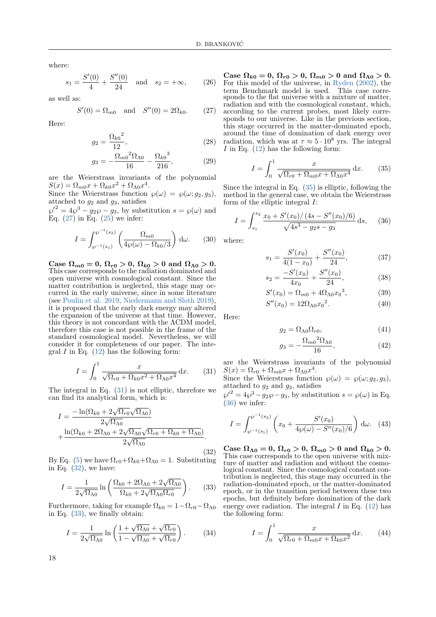where:

$$
s_1 = \frac{S'(0)}{4} + \frac{S''(0)}{24}
$$
 and  $s_2 = +\infty$ , (26)

as well as:

<span id="page-3-0"></span>
$$
S'(0) = \Omega_{m0}
$$
 and  $S''(0) = 2\Omega_{k0}$ . (27)

Here:

$$
g_2 = \frac{\Omega_{k0}^2}{12},\tag{28}
$$

$$
g_3 = -\frac{\Omega_{m0}{}^2 \Omega_{\Lambda 0}}{16} - \frac{\Omega_{k0}{}^3}{216},\tag{29}
$$

are the Weierstrass invariants of the polynomial  $S(x) = \Omega_{m0}x + \Omega_{k0}x^2 + \Omega_{\Lambda 0}x^4$ .

Since the Weierstrass function  $\wp(\omega) = \wp(\omega; g_2, g_3)$ , attached to  $g_2$  and  $g_3$ , satisfies

 $\wp'^2 = 4\wp^3 - g_2\wp - g_3$ , by substitution  $s = \wp(\omega)$  and Eq.  $(27)$  in Eq.  $(25)$  we infer:

$$
I = \int_{\wp^{-1}(s_1)}^{\wp^{-1}(s_2)} \left( \frac{\Omega_{m0}}{4\wp(\omega) - \Omega_{k0}/3} \right) d\omega.
$$
 (30)

Case  $\Omega_{m0} = 0$ ,  $\Omega_{r0} > 0$ ,  $\Omega_{k0} > 0$  and  $\Omega_{\Lambda 0} > 0$ . This case corresponds to the radiation dominated and open universe with cosmological constant. Since the matter contribution is neglected, this stage may occurred in the early universe, since in some literature (see [Poulin et al.](#page-7-12) [2019,](#page-7-12) [Niedermann and Sloth](#page-7-13) [2019\)](#page-7-13), it is proposed that the early dark energy may altered the expansion of the universe at that time. However, this theory is not concordant with the ΛCDM model, therefore this case is not possible in the frame of the standard cosmological model. Nevertheless, we will consider it for completeness of our paper. The integral  $I$  in Eq.  $(12)$  has the following form:

<span id="page-3-1"></span>
$$
I = \int_0^1 \frac{x}{\sqrt{\Omega_{r0} + \Omega_{k0}x^2 + \Omega_{\Lambda0}x^4}} dx.
$$
 (31)

The integral in Eq. [\(31\)](#page-3-1) is not elliptic, therefore we can find its analytical form, which is:

<span id="page-3-2"></span>
$$
I = \frac{-\ln(\Omega_{k0} + 2\sqrt{\Omega_{r0}}\sqrt{\Omega_{\Lambda 0}})}{2\sqrt{\Omega_{\Lambda 0}}} + \frac{\ln(\Omega_{k0} + 2\Omega_{\Lambda 0} + 2\sqrt{\Omega_{\Lambda 0}}\sqrt{\Omega_{r0} + \Omega_{k0} + \Omega_{\Lambda 0}})}{2\sqrt{\Omega_{\Lambda 0}}}.
$$
\n(32)

By Eq. [\(5\)](#page-1-6) we have  $\Omega_{r0} + \Omega_{k0} + \Omega_{\Lambda 0} = 1$ . Substituting in Eq.  $(32)$ , we have:

<span id="page-3-3"></span>
$$
I = \frac{1}{2\sqrt{\Omega_{\Lambda 0}}} \ln \left( \frac{\Omega_{k0} + 2\Omega_{\Lambda 0} + 2\sqrt{\Omega_{\Lambda 0}}}{\Omega_{k0} + 2\sqrt{\Omega_{\Lambda 0} \Omega_{r0}}} \right). \tag{33}
$$

Furthermore, taking for example  $\Omega_{k0} = 1 - \Omega_{r0} - \Omega_{\Lambda 0}$ in Eq. [\(33\)](#page-3-3), we finally obtain:

$$
I = \frac{1}{2\sqrt{\Omega_{\Lambda 0}}} \ln \left( \frac{1 + \sqrt{\Omega_{\Lambda 0}} + \sqrt{\Omega_{r0}}}{1 - \sqrt{\Omega_{\Lambda 0}} + \sqrt{\Omega_{r0}}} \right). \tag{34}
$$

Case  $\Omega_{k0} = 0$ ,  $\Omega_{r0} > 0$ ,  $\Omega_{m0} > 0$  and  $\Omega_{\Lambda 0} > 0$ . For this model of the universe, in [Ryden](#page-7-5) [\(2002\)](#page-7-5), the term Benchmark model is used. This case corresponds to the flat universe with a mixture of matter, radiation and with the cosmological constant, which, according to the current probes, most likely corresponds to our universe. Like in the previous section, this stage occurred in the matter-dominated epoch, around the time of domination of dark energy over radiation, which was at  $\tau \approx 5 \cdot 10^8$  yrs. The integral I in Eq.  $(12)$  has the following form:

<span id="page-3-4"></span>
$$
I = \int_0^1 \frac{x}{\sqrt{\Omega_{r0} + \Omega_{m0}x + \Omega_{\Lambda 0}x^4}} \, \mathrm{d}x. \tag{35}
$$

Since the integral in Eq. [\(35\)](#page-3-4) is elliptic, following the method in the general case, we obtain the Weierstrass form of the elliptic integral I:

<span id="page-3-5"></span>
$$
I = \int_{s_1}^{s_2} \frac{x_0 + S'(x_0)/(4s - S''(x_0)/6)}{\sqrt{4s^3 - g_2s - g_3}} ds, \quad (36)
$$

where:

$$
s_1 = \frac{S'(x_0)}{4(1-x_0)} + \frac{S''(x_0)}{24},\tag{37}
$$

$$
s_2 = \frac{-S'(x_0)}{4x_0} + \frac{S''(x_0)}{24},\tag{38}
$$

$$
S'(x_0) = \Omega_{m0} + 4\Omega_{\Lambda 0} x_0^3, \tag{39}
$$

$$
S''(x_0) = 12\Omega_{\Lambda 0} x_0^2. \tag{40}
$$

Here:

$$
g_2 = \Omega_{\Lambda 0} \Omega_{r0},\tag{41}
$$

$$
g_3 = -\frac{\Omega_{m0}{}^2 \Omega_{\Lambda 0}}{16},\tag{42}
$$

are the Weierstrass invariants of the polynomial  $S(x) = \Omega_{r0} + \Omega_{m0}x + \Omega_{\Lambda 0}x^4$ .

Since the Weierstrass function  $\wp(\omega) = \wp(\omega; g_2, g_3)$ , attached to  $g_2$  and  $g_3$ , satisfies

 $\wp'^2 = 4\wp^3 - g_2\wp - g_3$ , by substitution  $s = \wp(\omega)$  in Eq. [\(36\)](#page-3-5) we infer:

$$
I = \int_{\wp^{-1}(s_1)}^{\wp^{-1}(s_2)} \left( x_0 + \frac{S'(x_0)}{4\wp(\omega) - S''(x_0)/6} \right) d\omega. \tag{43}
$$

Case  $\Omega_{\Lambda0} = 0$ ,  $\Omega_{r0} > 0$ ,  $\Omega_{m0} > 0$  and  $\Omega_{k0} > 0$ . This case corresponds to the open universe with mixture of matter and radiation and without the cosmological constant. Since the cosmological constant contribution is neglected, this stage may occurred in the radiation-dominated epoch, or the matter-dominated epoch, or in the transition period between these two epochs, but definitely before domination of the dark energy over radiation. The integral  $I$  in Eq. [\(12\)](#page-1-5) has the following form:

<span id="page-3-6"></span>
$$
I = \int_0^1 \frac{x}{\sqrt{\Omega_{r0} + \Omega_{m0}x + \Omega_{k0}x^2}} dx.
$$
 (44)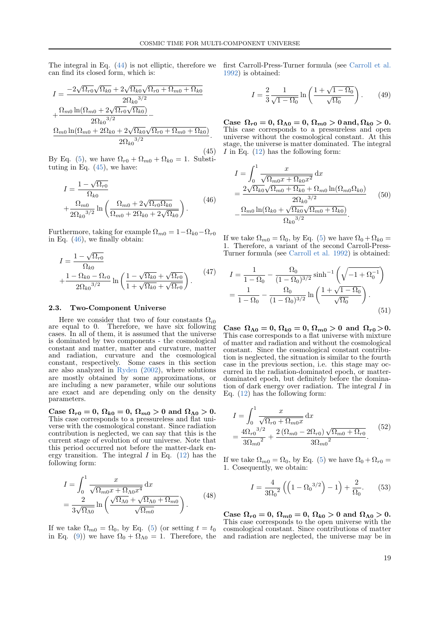The integral in Eq. [\(44\)](#page-3-6) is not elliptic, therefore we can find its closed form, which is:

<span id="page-4-0"></span>
$$
I = \frac{-2\sqrt{\Omega_{r0}}\sqrt{\Omega_{k0}} + 2\sqrt{\Omega_{k0}}\sqrt{\Omega_{r0} + \Omega_{m0} + \Omega_{k0}}}{2\Omega_{k0}^{3/2}} + \frac{\Omega_{m0}\ln(\Omega_{m0} + 2\sqrt{\Omega_{r0}}\sqrt{\Omega_{k0}})}{2\Omega_{k0}^{3/2}} - \frac{\Omega_{m0}\ln(\Omega_{m0} + 2\Omega_{k0} + 2\sqrt{\Omega_{k0}}\sqrt{\Omega_{r0} + \Omega_{m0} + \Omega_{k0}})}{2\Omega_{k0}^{3/2}}.
$$

(45) By Eq. [\(5\)](#page-1-6), we have  $\Omega_{r0} + \Omega_{m0} + \Omega_{k0} = 1$ . Substituting in Eq.  $(45)$ , we have:

<span id="page-4-1"></span>
$$
I = \frac{1 - \sqrt{\Omega_{r0}}}{\Omega_{k0}} + \frac{\Omega_{m0}}{2\Omega_{k0}^{3/2}} \ln \left( \frac{\Omega_{m0} + 2\sqrt{\Omega_{r0}\Omega_{k0}}}{\Omega_{m0} + 2\Omega_{k0} + 2\sqrt{\Omega_{k0}}} \right).
$$
 (46)

Furthermore, taking for example  $\Omega_{m0} = 1 - \Omega_{k0} - \Omega_{r0}$ in Eq. [\(46\)](#page-4-1), we finally obtain:

$$
I = \frac{1 - \sqrt{\Omega_{r0}}}{\Omega_{k0}} + \frac{1 - \Omega_{k0} - \Omega_{r0}}{2\Omega_{k0}^{3/2}} \ln\left(\frac{1 - \sqrt{\Omega_{k0}} + \sqrt{\Omega_{r0}}}{1 + \sqrt{\Omega_{k0}} + \sqrt{\Omega_{r0}}}\right).
$$
 (47)

#### 2.3. Two-Component Universe

Here we consider that two of four constants  $\Omega_{i0}$ are equal to 0. Therefore, we have six following cases. In all of them, it is assumed that the universe is dominated by two components - the cosmological constant and matter, matter and curvature, matter and radiation, curvature and the cosmological constant, respectively. Some cases in this section are also analyzed in [Ryden](#page-7-5) [\(2002\)](#page-7-5), where solutions are mostly obtained by some approximations, or are including a new parameter, while our solutions are exact and are depending only on the density parameters.

Case  $\Omega_{r0} = 0$ ,  $\Omega_{k0} = 0$ ,  $\Omega_{m0} > 0$  and  $\Omega_{\Lambda 0} > 0$ . This case corresponds to a pressureless and flat universe with the cosmological constant. Since radiation contribution is neglected, we can say that this is the current stage of evolution of our universe. Note that this period occurred not before the matter-dark energy transition. The integral  $I$  in Eq. [\(12\)](#page-1-5) has the following form:

$$
I = \int_0^1 \frac{x}{\sqrt{\Omega_{m0} x + \Omega_{\Lambda 0} x^4}} dx
$$
  
= 
$$
\frac{2}{3\sqrt{\Omega_{\Lambda 0}}} \ln \left( \frac{\sqrt{\Omega_{\Lambda 0} + \sqrt{\Omega_{\Lambda 0} + \Omega_{m0}}}}{\sqrt{\Omega_{m0}}} \right).
$$
 (48)

If we take  $\Omega_{m0} = \Omega_0$ , by Eq. [\(5\)](#page-1-6) (or setting  $t = t_0$ in Eq. [\(9\)](#page-1-2)) we have  $\Omega_0 + \Omega_{\Lambda 0} = 1$ . Therefore, the and radiation are neglected, the universe may be in

first Carroll-Press-Turner formula (see [Carroll et al.](#page-7-14) [1992\)](#page-7-14) is obtained:

$$
I = \frac{2}{3} \frac{1}{\sqrt{1 - \Omega_0}} \ln \left( \frac{1 + \sqrt{1 - \Omega_0}}{\sqrt{\Omega_0}} \right). \tag{49}
$$

Case  $\Omega_{r0} = 0$ ,  $\Omega_{\Lambda 0} = 0$ ,  $\Omega_{m0} > 0$  and,  $\Omega_{k0} > 0$ . This case corresponds to a pressureless and open universe without the cosmological constant. At this stage, the universe is matter dominated. The integral I in Eq.  $(12)$  has the following form:

$$
I = \int_0^1 \frac{x}{\sqrt{\Omega_{m0}x + \Omega_{k0}x^2}} dx
$$
  
= 
$$
\frac{2\sqrt{\Omega_{k0}}\sqrt{\Omega_{m0} + \Omega_{k0}} + \Omega_{m0} \ln(\Omega_{m0}\Omega_{k0})}{2\Omega_{k0}^{3/2}}
$$

$$
-\frac{\Omega_{m0} \ln(\Omega_{k0} + \sqrt{\Omega_{k0}}\sqrt{\Omega_{m0} + \Omega_{k0}})}{\Omega_{k0}^{3/2}}.
$$
(50)

If we take  $\Omega_{m0} = \Omega_0$ , by Eq. [\(5\)](#page-1-6) we have  $\Omega_0 + \Omega_{k0} =$ 1. Therefore, a variant of the second Carroll-Press-Turner formula (see [Carroll et al.](#page-7-14) [1992\)](#page-7-14) is obtained:

$$
I = \frac{1}{1 - \Omega_0} - \frac{\Omega_0}{(1 - \Omega_0)^{3/2}} \sinh^{-1} \left( \sqrt{-1 + \Omega_0^{-1}} \right)
$$

$$
= \frac{1}{1 - \Omega_0} - \frac{\Omega_0}{(1 - \Omega_0)^{3/2}} \ln \left( \frac{1 + \sqrt{1 - \Omega_0}}{\sqrt{\Omega_0}} \right).
$$
(51)

Case  $\Omega_{\Lambda0} = 0$ ,  $\Omega_{k0} = 0$ ,  $\Omega_{m0} > 0$  and  $\Omega_{r0} > 0$ . This case corresponds to a flat universe with mixture of matter and radiation and without the cosmological constant. Since the cosmological constant contribution is neglected, the situation is similar to the fourth case in the previous section, i.e. this stage may occurred in the radiation-dominated epoch, or matterdominated epoch, but definitely before the domination of dark energy over radiation. The integral I in Eq. [\(12\)](#page-1-5) has the following form:

$$
I = \int_0^1 \frac{x}{\sqrt{\Omega_{r0} + \Omega_{m0} x}} dx
$$
  
= 
$$
\frac{4\Omega_{r0}^{3/2}}{3\Omega_{m0}^{2}} + \frac{2(\Omega_{m0} - 2\Omega_{r0})\sqrt{\Omega_{m0} + \Omega_{r0}}}{3\Omega_{m0}^{2}}.
$$
 (52)

If we take  $\Omega_{m0} = \Omega_0$ , by Eq. [\(5\)](#page-1-6) we have  $\Omega_0 + \Omega_{r0} =$ 1. Cosequently, we obtain:

$$
I = \frac{4}{3\Omega_0^2} \left( \left( 1 - \Omega_0^{3/2} \right) - 1 \right) + \frac{2}{\Omega_0}.
$$
 (53)

Case  $\Omega_{r0} = 0$ ,  $\Omega_{m0} = 0$ ,  $\Omega_{k0} > 0$  and  $\Omega_{\Lambda 0} > 0$ . This case corresponds to the open universe with the cosmological constant. Since contributions of matter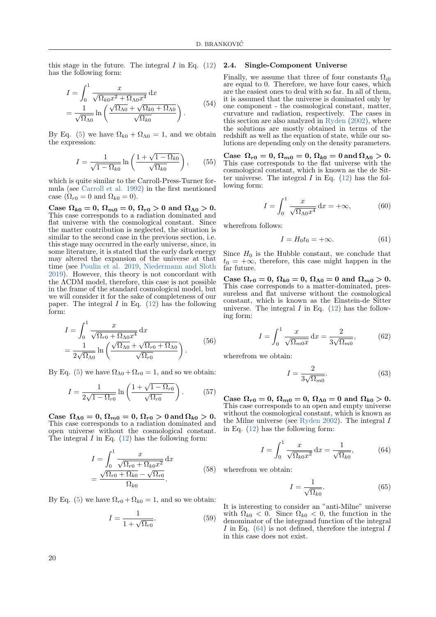this stage in the future. The integral  $I$  in Eq.  $(12)$ has the following form:

$$
I = \int_0^1 \frac{x}{\sqrt{\Omega_{k0} x^2 + \Omega_{\Lambda 0} x^4}} dx
$$
  
= 
$$
\frac{1}{\sqrt{\Omega_{\Lambda 0}}} \ln \left( \frac{\sqrt{\Omega_{\Lambda 0}} + \sqrt{\Omega_{k0} + \Omega_{\Lambda 0}}}{\sqrt{\Omega_{k0}}} \right).
$$
(54)

By Eq. [\(5\)](#page-1-6) we have  $\Omega_{k0} + \Omega_{\Lambda 0} = 1$ , and we obtain the expression:

$$
I = \frac{1}{\sqrt{1 - \Omega_{k0}}} \ln\left(\frac{1 + \sqrt{1 - \Omega_{k0}}}{\sqrt{\Omega_{k0}}}\right),\qquad(55)
$$

which is quite similar to the Carroll-Press-Turner formula (see [Carroll et al.](#page-7-14) [1992\)](#page-7-14) in the first mentioned case  $(\Omega_{r0} = 0$  and  $\Omega_{k0} = 0$ ).

Case  $\Omega_{k0} = 0$ ,  $\Omega_{m0} = 0$ ,  $\Omega_{r0} > 0$  and  $\Omega_{\Lambda 0} > 0$ . This case corresponds to a radiation dominated and flat universe with the cosmological constant. Since the matter contribution is neglected, the situation is similar to the second case in the previous section, i.e. this stage may occurred in the early universe, since, in some literature, it is stated that the early dark energy may altered the expansion of the universe at that time (see [Poulin et al.](#page-7-12) [2019,](#page-7-12) [Niedermann and Sloth](#page-7-13) [2019\)](#page-7-13). However, this theory is not concordant with the ΛCDM model, therefore, this case is not possible in the frame of the standard cosmological model, but we will consider it for the sake of completeness of our paper. The integral  $I$  in Eq. [\(12\)](#page-1-5) has the following form:

$$
I = \int_0^1 \frac{x}{\sqrt{\Omega_{r0} + \Omega_{\Lambda 0} x^4}} dx
$$
  
= 
$$
\frac{1}{2\sqrt{\Omega_{\Lambda 0}}} \ln \left( \frac{\sqrt{\Omega_{\Lambda 0}} + \sqrt{\Omega_{r0} + \Omega_{\Lambda 0}}}{\sqrt{\Omega_{r0}}} \right).
$$
 (56)

By Eq. [\(5\)](#page-1-6) we have  $\Omega_{\Lambda 0} + \Omega_{r0} = 1$ , and so we obtain:

$$
I = \frac{1}{2\sqrt{1 - \Omega_{r0}}} \ln\left(\frac{1 + \sqrt{1 - \Omega_{r0}}}{\sqrt{\Omega_{r0}}}\right). \tag{57}
$$

Case  $\Omega_{\Lambda 0} = 0$ ,  $\Omega_{m0} = 0$ ,  $\Omega_{r0} > 0$  and  $\Omega_{k0} > 0$ . This case corresponds to a radiation dominated and open universe without the cosmological constant. The integral  $I$  in Eq. [\(12\)](#page-1-5) has the following form:

$$
I = \int_0^1 \frac{x}{\sqrt{\Omega_{r0} + \Omega_{k0} x^2}} dx
$$
  
= 
$$
\frac{\sqrt{\Omega_{r0} + \Omega_{k0}} - \sqrt{\Omega_{r0}}}{\Omega_{k0}}.
$$
 (58)

By Eq. [\(5\)](#page-1-6) we have  $\Omega_{r0} + \Omega_{k0} = 1$ , and so we obtain:

$$
I = \frac{1}{1 + \sqrt{\Omega_{r0}}}.\tag{59}
$$

#### 2.4. Single-Component Universe

Finally, we assume that three of four constants  $\Omega_{i0}$ are equal to 0. Therefore, we have four cases, which are the easiest ones to deal with so far. In all of them, it is assumed that the universe is dominated only by one component - the cosmological constant, matter, curvature and radiation, respectively. The cases in this section are also analyzed in [Ryden](#page-7-5)  $(2002)$ , where the solutions are mostly obtained in terms of the redshift as well as the equation of state, while our solutions are depending only on the density parameters.

Case  $\Omega_{r0}=0, \Omega_{m0}=0, \Omega_{k0}=0$  and  $\Omega_{\Lambda0}>0.$ This case corresponds to the flat universe with the cosmological constant, which is known as the de Sitter universe. The integral I in Eq.  $(12)$  has the following form:

$$
I = \int_0^1 \frac{x}{\sqrt{\Omega_{\Lambda 0} x^4}} dx = +\infty,
$$
 (60)

wherefrom follows:

$$
I = H_0 t_0 = +\infty.
$$
 (61)

Since  $H_0$  is the Hubble constant, we conclude that  $t_0 = +\infty$ , therefore, this case might happen in the far future.

Case  $\Omega_{r0} = 0$ ,  $\Omega_{k0} = 0$ ,  $\Omega_{\Lambda 0} = 0$  and  $\Omega_{m0} > 0$ . This case corresponds to a matter-dominated, pressureless and flat universe without the cosmological constant, which is known as the Einstein-de Sitter universe. The integral  $I$  in Eq. [\(12\)](#page-1-5) has the following form:

$$
I = \int_0^1 \frac{x}{\sqrt{\Omega_{m0} x}} dx = \frac{2}{3\sqrt{\Omega_{m0}}},
$$
 (62)

wherefrom we obtain:

$$
I = \frac{2}{3\sqrt{\Omega_{m0}}}.\tag{63}
$$

Case  $\Omega_{r0} = 0$ ,  $\Omega_{m0} = 0$ ,  $\Omega_{\Lambda 0} = 0$  and  $\Omega_{k0} > 0$ . This case corresponds to an open and empty universe without the cosmological constant, which is known as the Milne universe (see [Ryden](#page-7-5) [2002\)](#page-7-5). The integral I in Eq. [\(12\)](#page-1-5) has the following form:

<span id="page-5-0"></span>
$$
I = \int_0^1 \frac{x}{\sqrt{\Omega_{k0} x^2}} dx = \frac{1}{\sqrt{\Omega_{k0}}},
$$
 (64)

wherefrom we obtain:

$$
I = \frac{1}{\sqrt{\Omega_{k0}}}.\tag{65}
$$

It is interesting to consider an "anti-Milne" universe with  $\Omega_{k0} < 0$ . Since  $\Omega_{k0} < 0$ , the function in the denominator of the integrand function of the integral I in Eq.  $(64)$  is not defined, therefore the integral I in this case does not exist.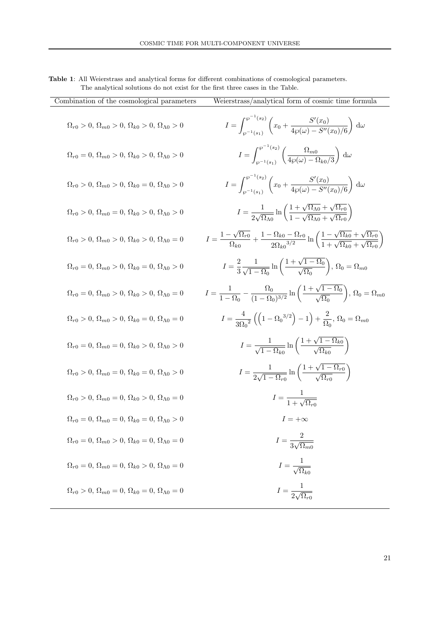<span id="page-6-0"></span>

| <b>Table 1:</b> All Weierstrass and analytical forms for different combinations of cosmological parameters. |  |  |  |
|-------------------------------------------------------------------------------------------------------------|--|--|--|
| The analytical solutions do not exist for the first three cases in the Table.                               |  |  |  |

| Combination of the cosmological parameters                                           | Weierstrass/analytical form of cosmic time formula                                                                                                                                                                          |
|--------------------------------------------------------------------------------------|-----------------------------------------------------------------------------------------------------------------------------------------------------------------------------------------------------------------------------|
| $\Omega_{r0} > 0, \Omega_{m0} > 0, \Omega_{k0} > 0, \Omega_{\Lambda 0} > 0$          | $I = \int_{\alpha - 1}^{\wp^{-1}(s_2)} \left( x_0 + \frac{S'(x_0)}{4\wp(\omega) - S''(x_0)/6} \right) d\omega$                                                                                                              |
| $\Omega_{r0} = 0, \Omega_{m0} > 0, \Omega_{k0} > 0, \Omega_{\Lambda 0} > 0$          | $I = \int_{\omega^{-1}(\varepsilon)}^{\omega^{(s_2)}} \left( \frac{\Omega_{m0}}{4\omega(\omega) - \Omega_{k0}/3} \right) d\omega$                                                                                           |
| $\Omega_{r0} > 0, \Omega_{m0} > 0, \Omega_{k0} = 0, \Omega_{\Lambda 0} > 0$          | $I = \int_{\alpha=1}^{\wp^{-1}(s_2)} \left( x_0 + \frac{S'(x_0)}{4\omega(\omega) - S''(x_0)/6} \right) d\omega$                                                                                                             |
| $\Omega_{r0} > 0$ , $\Omega_{m0} = 0$ , $\Omega_{k0} > 0$ , $\Omega_{\Lambda 0} > 0$ | $I = \frac{1}{2\sqrt{\Omega_{\Lambda 0}}} \ln \left( \frac{1 + \sqrt{\Omega_{\Lambda 0}} + \sqrt{\Omega_{r0}}}{1 - \sqrt{\Omega_{\Lambda 0}} + \sqrt{\Omega_{r0}}} \right)$                                                 |
| $\Omega_{r0} > 0, \Omega_{m0} > 0, \Omega_{k0} > 0, \Omega_{\Lambda 0} = 0$          | $I = \frac{1 - \sqrt{\Omega_{r0}}}{\Omega_{k0}} + \frac{1 - \Omega_{k0} - \Omega_{r0}}{2\Omega_{k0}^{3/2}} \ln\left(\frac{1 - \sqrt{\Omega_{k0}} + \sqrt{\Omega_{r0}}}{1 + \sqrt{\Omega_{k0}} + \sqrt{\Omega_{r0}}}\right)$ |
| $\Omega_{r0} = 0, \Omega_{m0} > 0, \Omega_{k0} = 0, \Omega_{\Lambda 0} > 0$          | $I=\frac{2}{3}\frac{1}{\sqrt{1-\Omega_0}}\ln\left(\frac{1+\sqrt{1-\Omega_0}}{\sqrt{\Omega_0}}\right),\,\Omega_0=\Omega_{m0}$                                                                                                |
| $\Omega_{r0} = 0, \, \Omega_{m0} > 0, \, \Omega_{k0} > 0, \, \Omega_{\Lambda 0} = 0$ | $I = \frac{1}{1 - \Omega_0} - \frac{\Omega_0}{(1 - \Omega_0)^{3/2}} \ln\left(\frac{1 + \sqrt{1 - \Omega_0}}{\sqrt{\Omega_0}}\right), \Omega_0 = \Omega_{m0}$                                                                |
| $\Omega_{r0} > 0$ , $\Omega_{m0} > 0$ , $\Omega_{k0} = 0$ , $\Omega_{\Lambda 0} = 0$ | $I = \frac{4}{3Q_{\circ}^{2}} \left( \left( 1 - \Omega_{0}^{3/2} \right) - 1 \right) + \frac{2}{Q_{\circ}} \text{, } \Omega_{0} = \Omega_{m0}$                                                                              |
| $\Omega_{r0} = 0, \Omega_{m0} = 0, \Omega_{k0} > 0, \Omega_{\Lambda 0} > 0$          | $I = \frac{1}{\sqrt{1 - \Omega_{10}}} \ln \left( \frac{1 + \sqrt{1 - \Omega_{k0}}}{\sqrt{\Omega_{10}}} \right)$                                                                                                             |
| $\Omega_{r0} > 0, \Omega_{m0} = 0, \Omega_{k0} = 0, \Omega_{\Lambda 0} > 0$          | $I = \frac{1}{2\sqrt{1-\Omega_{\text{on}}}}\ln\left(\frac{1+\sqrt{1-\Omega_{r0}}}{\sqrt{\Omega_{\text{on}}}}\right)$                                                                                                        |
| $\Omega_{r0} > 0$ , $\Omega_{m0} = 0$ , $\Omega_{k0} > 0$ , $\Omega_{\Lambda 0} = 0$ | $I = \frac{1}{1 + \sqrt{\Omega_{0.0}}}$                                                                                                                                                                                     |
| $\Omega_{r0} = 0, \Omega_{m0} = 0, \Omega_{k0} = 0, \Omega_{\Lambda 0} > 0$          | $1 = +\infty$                                                                                                                                                                                                               |
| $\Omega_{r0} = 0, \Omega_{m0} > 0, \Omega_{k0} = 0, \Omega_{\Lambda 0} = 0$          | $I = \frac{2}{3\sqrt{\Omega_{m0}}}$                                                                                                                                                                                         |
| $\Omega_{r0} = 0, \Omega_{m0} = 0, \Omega_{k0} > 0, \Omega_{\Lambda 0} = 0$          | $I = \frac{1}{\sqrt{\Omega_{k0}}}$                                                                                                                                                                                          |
| $\Omega_{r0} > 0, \Omega_{m0} = 0, \Omega_{k0} = 0, \Omega_{\Lambda 0} = 0$          | $I = \frac{1}{2\sqrt{\Omega_{r0}}}$                                                                                                                                                                                         |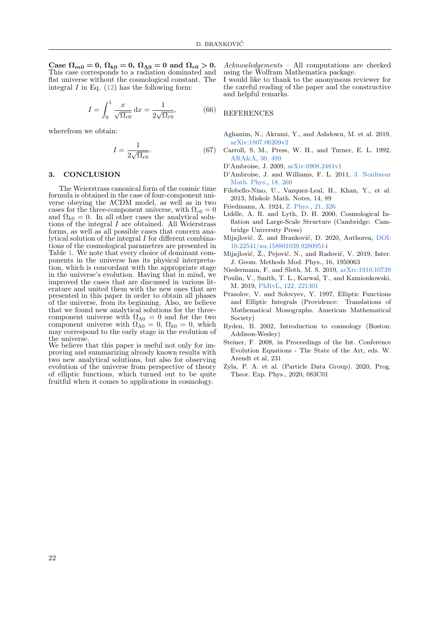Case  $\Omega_{m0} = 0$ ,  $\Omega_{k0} = 0$ ,  $\Omega_{\Lambda 0} = 0$  and  $\Omega_{r0} > 0$ . This case corresponds to a radiation dominated and flat universe without the cosmological constant. The integral  $I$  in Eq.  $(12)$  has the following form:

$$
I = \int_0^1 \frac{x}{\sqrt{\Omega_{r0}}} dx = \frac{1}{2\sqrt{\Omega_{r0}}},
$$
(66)

wherefrom we obtain:

$$
I = \frac{1}{2\sqrt{\Omega_{r0}}}.\tag{67}
$$

## 3. CONCLUSION

The Weierstrass canonical form of the cosmic time formula is obtained in the case of four-component universe obeying the ΛCDM model, as well as in two cases for the three-component universe, with  $\Omega_{r0} = 0$ and  $\Omega_{k0} = 0$ . In all other cases the analytical solutions of the integral  $I$  are obtained. All Weierstrass forms, as well as all possible cases that concern analytical solution of the integral I for different combinations of the cosmological parameters are presented in Table [1.](#page-6-0) We note that every choice of dominant components in the universe has its physical interpretation, which is concordant with the appropriate stage in the universe's evolution. Having that in mind, we improved the cases that are discussed in various literature and united them with the new ones that are presented in this paper in order to obtain all phases of the universe, from its beginning. Also, we believe that we found new analytical solutions for the threecomponent universe with  $\Omega_{\Lambda 0} = 0$  and for the two component universe with  $\Omega_{\Lambda 0} = 0$ ,  $\Omega_{k0} = 0$ , which may correspond to the early stage in the evolution of the universe.

We believe that this paper is useful not only for improving and summarizing already known results with two new analytical solutions, but also for observing evolution of the universe from perspective of theory of elliptic functions, which turned out to be quite fruitful when it comes to applications in cosmology.

Acknowledgements – All computations are checked using the Wolfram Mathematica package.

I would like to thank to the anonymous reviewer for the careful reading of the paper and the constructive and helpful remarks.

## REFERENCES

- <span id="page-7-3"></span>Aghanim, N., Akrami, Y., and Ashdown, M. et al. 2019, [arXiv:1807.06209v2](https://arxiv.org/abs/1807.06209v2)
- <span id="page-7-14"></span>Carroll, S. M., Press, W. H., and Turner, E. L. 1992, [ARA&A,](https://ui.adsabs.harvard.edu/abs/1992ARA&A..30..499C) [30, 499](https://ui.adsabs.harvard.edu/abs/1992ARA&A..30..499C)
- <span id="page-7-10"></span><span id="page-7-9"></span>D'Ambroise, J. 2009, [arXiv:0908.2481v1](https://arxiv.org/abs/0908.2481v1)
- D'Ambroise, J. and Williams, F. L. 2011, [J. Nonlinear](https://ui.adsabs.harvard.edu/abs/2011JNMP...18..269D) [Math. Phys.,](https://ui.adsabs.harvard.edu/abs/2011JNMP...18..269D) [18, 269](https://ui.adsabs.harvard.edu/abs/2011JNMP...18..269D)
- <span id="page-7-4"></span>Filobello-Nino, U., Vazquez-Leal, H., Khan, Y., et al. 2013, Miskolc Math. Notes, 14, 89
- <span id="page-7-0"></span>Friedmann, A. 1924, [Z. Phys.,](https://ui.adsabs.harvard.edu/abs/1924ZPhy...21..326F) [21, 326](https://ui.adsabs.harvard.edu/abs/1924ZPhy...21..326F)
- <span id="page-7-1"></span>Liddle, A. R. and Lyth, D. H. 2000, Cosmological Inflation and Large-Scale Structure (Cambridge: Cambridge University Press)
- <span id="page-7-8"></span>Mijajlović, Ž. and Branković, D. 2020, Authorea, [DOI:](https://www.authorea.com/users/315216/articles/445583-on-algebraic-dependence-of-cosmological-parameters) [10.22541/au.158801039.92809514](https://www.authorea.com/users/315216/articles/445583-on-algebraic-dependence-of-cosmological-parameters)
- <span id="page-7-7"></span>Mijajlović, Ž., Pejović, N., and Radović, V. 2019, Inter. J. Geom. Methods Mod. Phys., 16, 1950063
- <span id="page-7-13"></span>Niedermann, F. and Sloth, M. S. 2019, [arXiv:1910.10739](https://arxiv.org/abs/1910.10739)
- <span id="page-7-12"></span>Poulin, V., Smith, T. L., Karwal, T., and Kamionkowski, M. 2019, [PhRvL,](https://ui.adsabs.harvard.edu/abs/2019PhRvL.122v1301P) [122, 221301](https://ui.adsabs.harvard.edu/abs/2019PhRvL.122v1301P)
- <span id="page-7-11"></span>Prasolov, V. and Solovyev, Y. 1997, Elliptic Functions and Elliptic Integrals (Providence: Translations of Mathematical Monographs. American Mathematical Society)
- <span id="page-7-5"></span>Ryden, B. 2002, Introduction to cosmology (Boston: Addison-Wesley)
- <span id="page-7-6"></span>Steiner, F. 2008, in Proceedings of the Int. Conference Evolution Equations - The State of the Art, eds. W. Arendt et al, 231
- <span id="page-7-2"></span>Zyla, P. A. et al. (Particle Data Group). 2020, Prog. Theor. Exp. Phys., 2020, 083C01